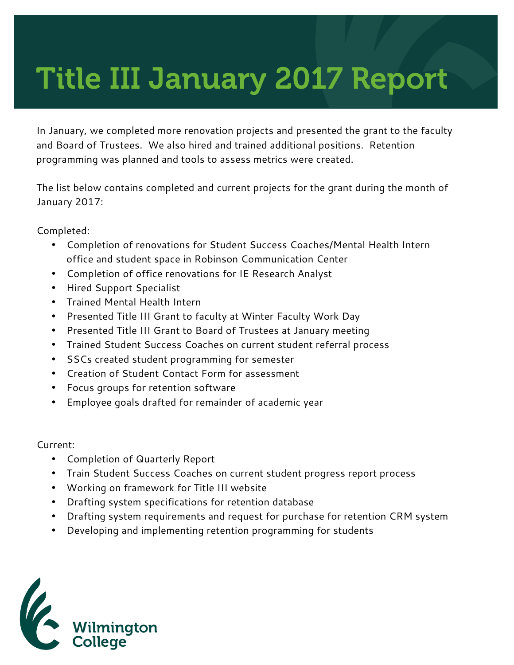## Title III January 2017 Report

In January, we completed more renovation projects and presented the grant to the faculty and Board of Trustees. We also hired and trained additional positions. Retention programming was planned and tools to assess metrics were created.

The list below contains completed and current projects for the grant during the month of January 2017:

Completed:

- Completion of renovations for Student Success Coaches/Mental Health Intern office and student space in Robinson Communication Center
- Completion of office renovations for IE Research Analyst
- Hired Support Specialist
- Trained Mental Health Intern
- Presented Title III Grant to faculty at Winter Faculty Work Day
- Presented Title III Grant to Board of Trustees at January meeting
- Trained Student Success Coaches on current student referral process
- SSCs created student programming for semester
- Creation of Student Contact Form for assessment
- Focus groups for retention software
- Employee goals drafted for remainder of academic year

Current:

- Completion of Quarterly Report
- Train Student Success Coaches on current student progress report process
- Working on framework for Title III website
- Drafting system specifications for retention database
- Drafting system requirements and request for purchase for retention CRM system
- Developing and implementing retention programming for students